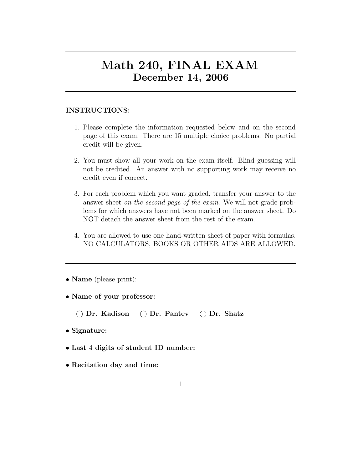## Math 240, FINAL EXAM December 14, 2006

## INSTRUCTIONS:

- 1. Please complete the information requested below and on the second page of this exam. There are 15 multiple choice problems. No partial credit will be given.
- 2. You must show all your work on the exam itself. Blind guessing will not be credited. An answer with no supporting work may receive no credit even if correct.
- 3. For each problem which you want graded, transfer your answer to the answer sheet on the second page of the exam. We will not grade problems for which answers have not been marked on the answer sheet. Do NOT detach the answer sheet from the rest of the exam.
- 4. You are allowed to use one hand-written sheet of paper with formulas. NO CALCULATORS, BOOKS OR OTHER AIDS ARE ALLOWED.

• **Name** (please print):

• Name of your professor:

Dr. Kadison Dr. Pantev Dr. Shatz

- Signature:
- Last 4 digits of student ID number:
- Recitation day and time: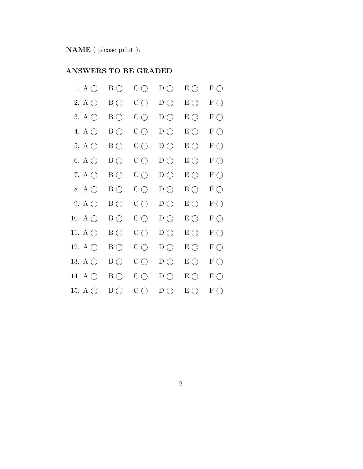NAME ( please print ):

## ANSWERS TO BE GRADED

| 1. A $\bigcirc$  | $\rm{B}$ $\rm{O}$ | $\mathrm{C}\bigcirc$ | $D\bigcirc$  | $E\bigcirc$  | $F \bigcirc$            |
|------------------|-------------------|----------------------|--------------|--------------|-------------------------|
| 2. A $\bigcirc$  | $B\bigcirc$       | $C\bigcirc$          | $D\bigcirc$  | $E \bigcirc$ | $\mathcal F$ $\bigcirc$ |
| 3. A $\bigcirc$  | $B\bigcirc$       | $C\bigcirc$          | $D\bigcirc$  | $E \bigcirc$ | $F \bigcirc$            |
| 4. A $\bigcirc$  | $B\bigcirc$       | $C\bigcirc$          | $D\bigcirc$  | $E \bigcirc$ | $\mathcal F$ $\bigcirc$ |
| 5. A $\bigcirc$  | $B\bigcirc$       | $C\bigcirc$          | $D\bigcirc$  | $E \bigcirc$ | $F \bigcirc$            |
| 6. A $\bigcirc$  | $B\bigcirc$       | $C\bigcirc$          | $D\bigcirc$  | $E \bigcirc$ | $F \bigcirc$            |
| 7. A $\bigcirc$  | $B\bigcirc$       | $C\bigcirc$          | $D\bigcirc$  | $E \bigcirc$ | $\mathcal F$ $\bigcirc$ |
| 8. A $\bigcirc$  | $B\bigcirc$       | $C\bigcirc$          | $D\bigcirc$  | $E \bigcirc$ | $F \bigcirc$            |
| 9. A $\bigcirc$  | $B\bigcirc$       | $C\bigcirc$          | $D\bigcirc$  | $E \bigcirc$ | $F \bigcirc$            |
| 10. A $\bigcirc$ | $B\bigcirc$       | $C\bigcirc$          | $D\bigcirc$  | $E \bigcirc$ | $F \bigcirc$            |
| 11. A $\bigcirc$ | $B\bigcirc$       | $C\bigcirc$          | $D\bigcirc$  | $E \bigcirc$ | $\mathcal F$ $\bigcirc$ |
| 12. A $\bigcirc$ | $B\bigcirc$       | $C\bigcirc$          | $D\bigcirc$  | $E \bigcirc$ | $F \bigcirc$            |
| 13. A $\bigcirc$ | $\rm{B}$ $\rm{O}$ | $C\bigcirc$          | $D\bigcirc$  | $E \bigcirc$ | $F \bigcirc$            |
| 14. A $\bigcirc$ | $B\bigcirc$       | $C\bigcirc$          | $D\bigcirc$  | $E \bigcirc$ | $F \bigcirc$            |
| 15. A $\bigcirc$ | $B\bigcap$        | $C\bigcirc$          | $D \bigcirc$ | $E\bigcirc$  | $F\bigcirc$             |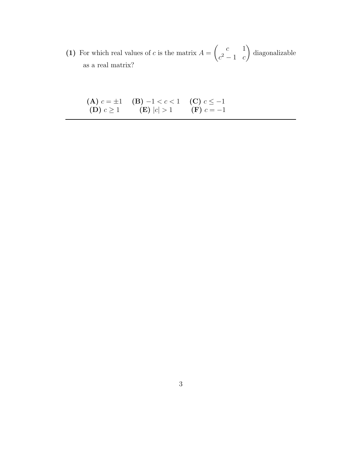(1) For which real values of c is the matrix  $A =$  $\begin{pmatrix} c & 1 \end{pmatrix}$  $c^2 - 1$  c  $\overline{ }$ diagonalizable as a real matrix?

|                  | (A) $c = \pm 1$ (B) $-1 < c < 1$ (C) $c \le -1$ |              |
|------------------|-------------------------------------------------|--------------|
| $(D)$ $c \geq 1$ | (E)  c  > 1                                     | $(F) c = -1$ |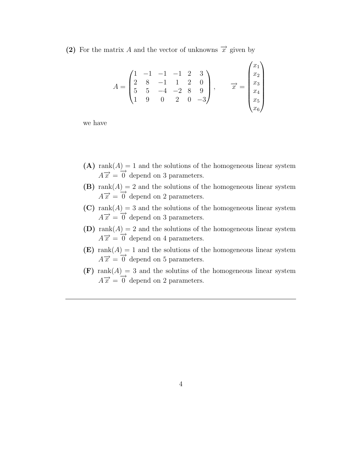(2) For the matrix A and the vector of unknowns  $\vec{x}$  given by

$$
A = \begin{pmatrix} 1 & -1 & -1 & -1 & 2 & 3 \\ 2 & 8 & -1 & 1 & 2 & 0 \\ 5 & 5 & -4 & -2 & 8 & 9 \\ 1 & 9 & 0 & 2 & 0 & -3 \end{pmatrix}, \qquad \overrightarrow{x} = \begin{pmatrix} x_1 \\ x_2 \\ x_3 \\ x_4 \\ x_5 \\ x_6 \end{pmatrix}
$$

we have

- (A) rank $(A) = 1$  and the solutions of the homogeneous linear system  $A\vec{x} = \vec{0}$  depend on 3 parameters.
- (B) rank $(A) = 2$  and the solutions of the homogeneous linear system  $A\vec{x} = \vec{0}$  depend on 2 parameters.
- (C) rank $(A) = 3$  and the solutions of the homogeneous linear system  $A\vec{x} = \vec{0}$  depend on 3 parameters.
- (D) rank $(A) = 2$  and the solutions of the homogeneous linear system  $A\vec{x} = \vec{0}$  depend on 4 parameters.
- (E) rank $(A) = 1$  and the solutions of the homogeneous linear system  $A\overrightarrow{x} = 0$  depend on 5 parameters.
- $(F)$  rank $(A) = 3$  and the solutins of the homogeneous linear system  $A\vec{x} = \vec{0}$  depend on 2 parameters.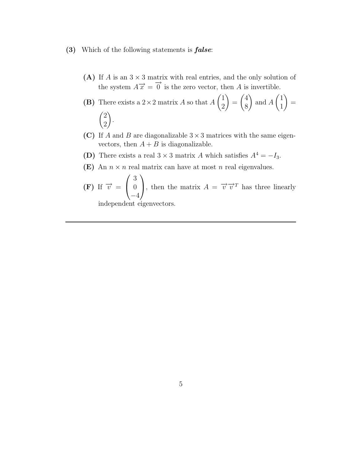- (3) Which of the following statements is false:
	- (A) If A is an  $3 \times 3$  matrix with real entries, and the only solution of the system  $A\vec{x} = \vec{0}$  is the zero vector, then A is invertible.

**(B)** There exists a 2×2 matrix *A* so that 
$$
A\begin{pmatrix} 1 \\ 2 \end{pmatrix} = \begin{pmatrix} 4 \\ 8 \end{pmatrix}
$$
 and  $A\begin{pmatrix} 1 \\ 1 \end{pmatrix} = \begin{pmatrix} 2 \\ 2 \end{pmatrix}$ .

- (C) If A and B are diagonalizable  $3 \times 3$  matrices with the same eigenvectors, then  $A + B$  is diagonalizable.
- (D) There exists a real  $3 \times 3$  matrix A which satisfies  $A^4 = -I_3$ .
- (E) An  $n \times n$  real matrix can have at most n real eigenvalues.

(F) If 
$$
\overrightarrow{v} = \begin{pmatrix} 3 \\ 0 \\ -4 \end{pmatrix}
$$
, then the matrix  $A = \overrightarrow{v} \overrightarrow{v}^T$  has three linearly independent eigenvectors.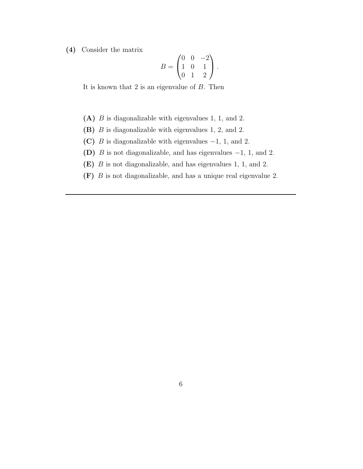(4) Consider the matrix

$$
B = \begin{pmatrix} 0 & 0 & -2 \\ 1 & 0 & 1 \\ 0 & 1 & 2 \end{pmatrix}.
$$

It is known that  $2$  is an eigenvalue of  $B$ . Then

- (A) B is diagonalizable with eigenvalues 1, 1, and 2.
- (B) B is diagonalizable with eigenvalues 1, 2, and 2.
- (C) B is diagonalizable with eigenvalues  $-1$ , 1, and 2.
- (D) B is not diagonalizable, and has eigenvalues −1, 1, and 2.
- (E) B is not diagonalizable, and has eigenvalues 1, 1, and 2.
- (F) B is not diagonalizable, and has a unique real eigenvalue 2.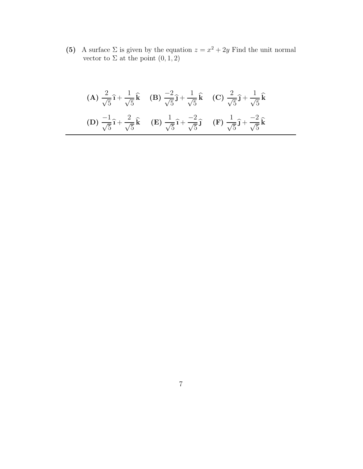(5) A surface  $\Sigma$  is given by the equation  $z = x^2 + 2y$  Find the unit normal vector to  $\Sigma$  at the point  $(0, 1, 2)$ 

(A) 
$$
\frac{2}{\sqrt{5}}\hat{\mathbf{i}} + \frac{1}{\sqrt{5}}\hat{\mathbf{k}}
$$
 (B)  $\frac{-2}{\sqrt{5}}\hat{\mathbf{j}} + \frac{1}{\sqrt{5}}\hat{\mathbf{k}}$  (C)  $\frac{2}{\sqrt{5}}\hat{\mathbf{j}} + \frac{1}{\sqrt{5}}\hat{\mathbf{k}}$   
(D)  $\frac{-1}{\sqrt{5}}\hat{\mathbf{i}} + \frac{2}{\sqrt{5}}\hat{\mathbf{k}}$  (E)  $\frac{1}{\sqrt{5}}\hat{\mathbf{i}} + \frac{-2}{\sqrt{5}}\hat{\mathbf{j}}$  (F)  $\frac{1}{\sqrt{5}}\hat{\mathbf{j}} + \frac{-2}{\sqrt{5}}\hat{\mathbf{k}}$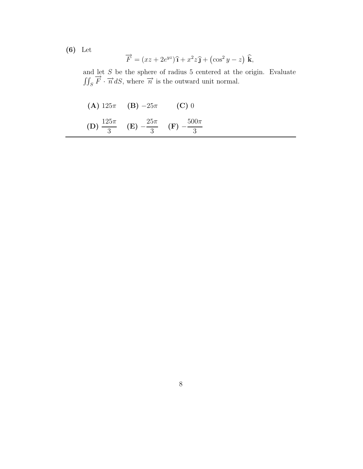(6) Let

$$
\overrightarrow{F} = (xz + 2e^{yz})\hat{\mathbf{i}} + x^2z\hat{\mathbf{j}} + (\cos^2 y - z)\hat{\mathbf{k}},
$$

and let S be the sphere of radius 5 centered at the origin. Evaluate  $\iint_S \overrightarrow{F} \cdot \overrightarrow{n} dS$ , where  $\overrightarrow{n}$  is the outward unit normal.

(A)  $125\pi$  (B)  $-25\pi$  (C) 0  $(D) \frac{125\pi}{2}$  $\frac{3}{3}$  (E) –  $25\pi$  $\frac{3}{3}$  (F) –  $500\pi$ 3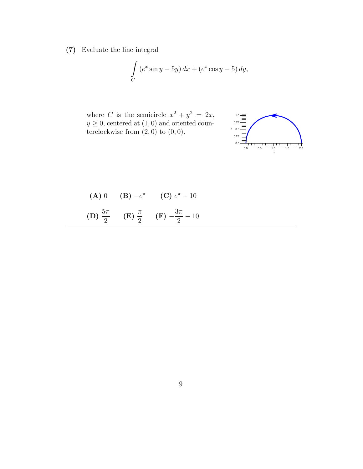(7) Evaluate the line integral

$$
\int_C (e^x \sin y - 5y) dx + (e^x \cos y - 5) dy,
$$

where C is the semicircle  $x^2 + y^2 = 2x$ ,  $y \geq 0$ , centered at  $(1, 0)$  and oriented counterclockwise from  $(2, 0)$  to  $(0, 0)$ .



(A) 0 (B) 
$$
-e^{\pi}
$$
 (C)  $e^{\pi} - 10$   
(D)  $\frac{5\pi}{2}$  (E)  $\frac{\pi}{2}$  (F)  $-\frac{3\pi}{2} - 10$ 

2

 $(F)$  –

 $\frac{m}{2} - 10$ 

2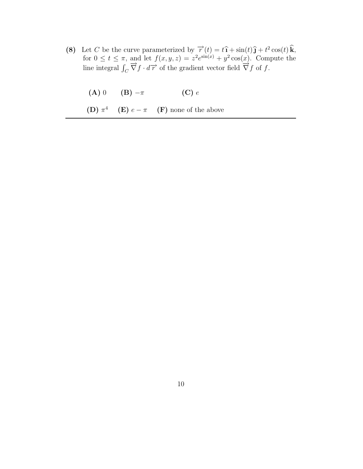(8) Let C be the curve parameterized by  $\vec{r}(t) = t\hat{i} + \sin(t)\hat{j} + t^2\cos(t)\hat{k}$ , for  $0 \le t \le \pi$ , and let  $f(x, y, z) = z^2 e^{\sin(x)} + y^2 \cos(\underline{x})$ . Compute the line integral  $\int_C \overrightarrow{\nabla} f \cdot d\overrightarrow{r}$  of the gradient vector field  $\overrightarrow{\nabla} f$  of f.

$$
(A) 0 \t (B) -\pi \t (C) e
$$

**(D)**  $\pi^4$  **(E)**  $e - \pi$  **(F)** none of the above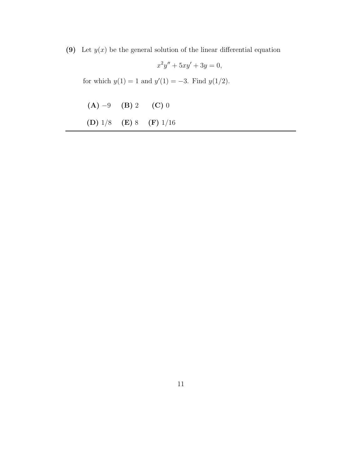(9) Let  $y(x)$  be the general solution of the linear differential equation

$$
x^2y'' + 5xy' + 3y = 0,
$$

for which  $y(1) = 1$  and  $y'(1) = -3$ . Find  $y(1/2)$ .

| $(A) -9$ (B) 2 | $(C)$ 0                    |
|----------------|----------------------------|
|                | (D) $1/8$ (E) 8 (F) $1/16$ |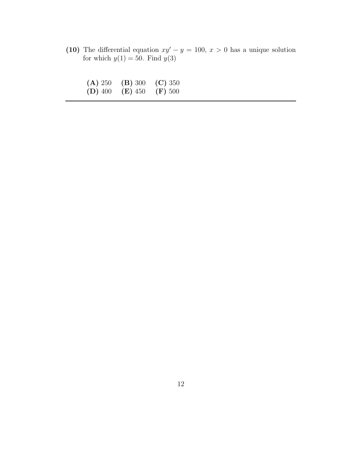(10) The differential equation  $xy'-y = 100, x > 0$  has a unique solution for which  $y(1) = 50$ . Find  $y(3)$ 

| (A) 250   | (B) 300   | (C) 350   |
|-----------|-----------|-----------|
| $(D)$ 400 | $(E)$ 450 | $(F)$ 500 |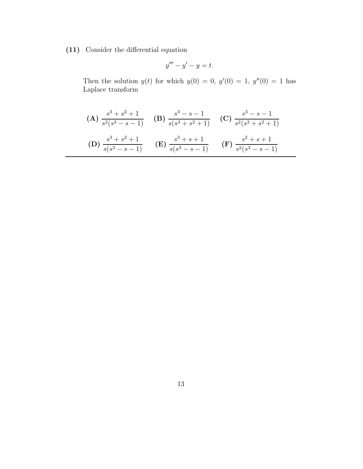(11) Consider the differential equation

$$
y''' - y' - y = t.
$$

Then the solution  $y(t)$  for which  $y(0) = 0$ ,  $y'(0) = 1$ ,  $y''(0) = 1$  has Laplace transform

(A) 
$$
\frac{s^3 + s^2 + 1}{s^2(s^3 - s - 1)}
$$
 (B)  $\frac{s^3 - s - 1}{s(s^3 + s^2 + 1)}$  (C)  $\frac{s^3 - s - 1}{s^2(s^3 + s^2 + 1)}$   
(D)  $\frac{s^3 + s^2 + 1}{s(s^3 - s - 1)}$  (E)  $\frac{s^3 + s + 1}{s(s^3 - s - 1)}$  (F)  $\frac{s^2 + s + 1}{s^2(s^3 - s - 1)}$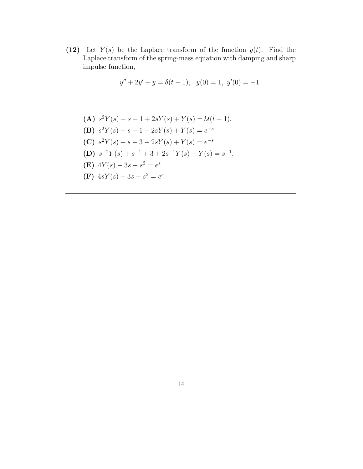(12) Let  $Y(s)$  be the Laplace transform of the function  $y(t)$ . Find the Laplace transform of the spring-mass equation with damping and sharp impulse function,

$$
y'' + 2y' + y = \delta(t - 1), \ \ y(0) = 1, \ y'(0) = -1
$$

\n- (A) 
$$
s^2Y(s) - s - 1 + 2sY(s) + Y(s) = \mathcal{U}(t - 1)
$$
.
\n- (B)  $s^2Y(s) - s - 1 + 2sY(s) + Y(s) = e^{-s}$ .
\n

- (C)  $s^2Y(s) + s 3 + 2sY(s) + Y(s) = e^{-s}.$
- (D)  $s^{-2}Y(s) + s^{-1} + 3 + 2s^{-1}Y(s) + Y(s) = s^{-1}$ .
- (E)  $4Y(s) 3s s^2 = e^s$ .
- (F)  $4sY(s) 3s s^2 = e^s$ .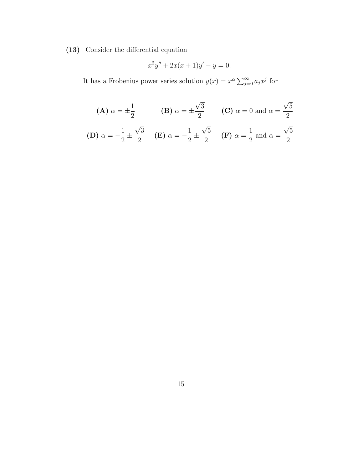(13) Consider the differential equation

$$
x^2y'' + 2x(x+1)y' - y = 0.
$$

It has a Frobenius power series solution  $y(x) = x^{\alpha} \sum_{j=0}^{\infty} a_j x^j$  for

(**A**) 
$$
\alpha = \pm \frac{1}{2}
$$
 (**B**)  $\alpha = \pm \frac{\sqrt{3}}{2}$  (**C**)  $\alpha = 0$  and  $\alpha = \frac{\sqrt{5}}{2}$   
(**D**)  $\alpha = -\frac{1}{2} \pm \frac{\sqrt{3}}{2}$  (**E**)  $\alpha = -\frac{1}{2} \pm \frac{\sqrt{5}}{2}$  (**F**)  $\alpha = \frac{1}{2}$  and  $\alpha = \frac{\sqrt{5}}{2}$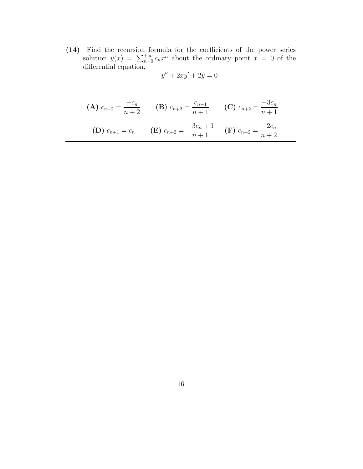(14) Find the recursion formula for the coefficients of the power series solution  $y(x) = \sum_{n=0}^{+\infty} c_n x^n$  about the ordinary point  $x = 0$  of the differential equation,

$$
y'' + 2xy' + 2y = 0
$$

(A) 
$$
c_{n+2} = \frac{-c_n}{n+2}
$$

\n(B)  $c_{n+2} = \frac{c_{n-1}}{n+1}$ 

\n(C)  $c_{n+2} = \frac{-3c_n}{n+1}$ 

\n(D)  $c_{n+1} = c_n$ 

\n(E)  $c_{n+2} = \frac{-3c_n + 1}{n+1}$ 

\n(F)  $c_{n+2} = \frac{-2c_n}{n+2}$